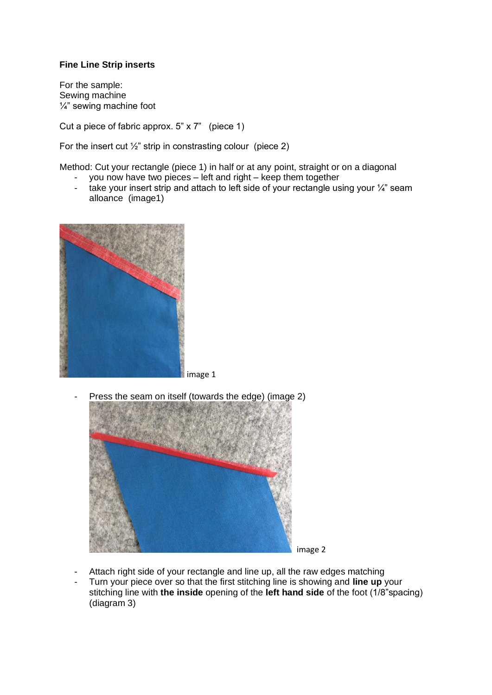## **Fine Line Strip inserts**

For the sample: Sewing machine  $\frac{1}{4}$ " sewing machine foot

Cut a piece of fabric approx. 5" x 7" (piece 1)

For the insert cut  $\frac{1}{2}$ " strip in constrasting colour (piece 2)

Method: Cut your rectangle (piece 1) in half or at any point, straight or on a diagonal

- you now have two pieces left and right keep them together
- take your insert strip and attach to left side of your rectangle using your  $\frac{1}{4}$ " seam alloance (image1)



- Press the seam on itself (towards the edge) (image 2)



- Attach right side of your rectangle and line up, all the raw edges matching
- Turn your piece over so that the first stitching line is showing and **line up** your stitching line with **the inside** opening of the **left hand side** of the foot (1/8"spacing) (diagram 3)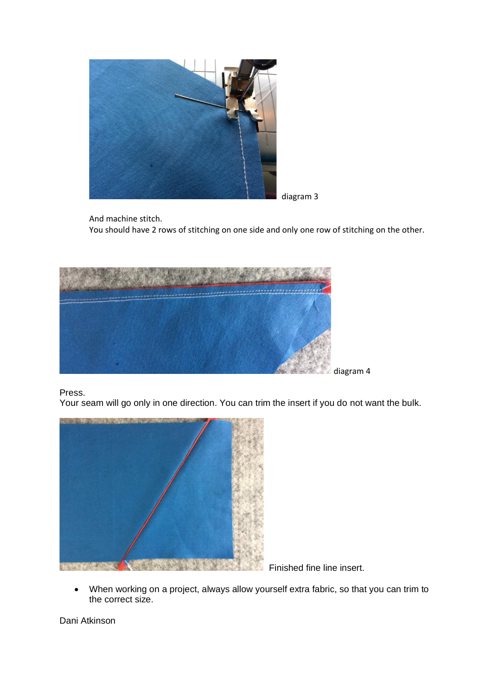

diagram 3

And machine stitch.

You should have 2 rows of stitching on one side and only one row of stitching on the other.



Press.

Your seam will go only in one direction. You can trim the insert if you do not want the bulk.



Finished fine line insert.

• When working on a project, always allow yourself extra fabric, so that you can trim to the correct size.

Dani Atkinson